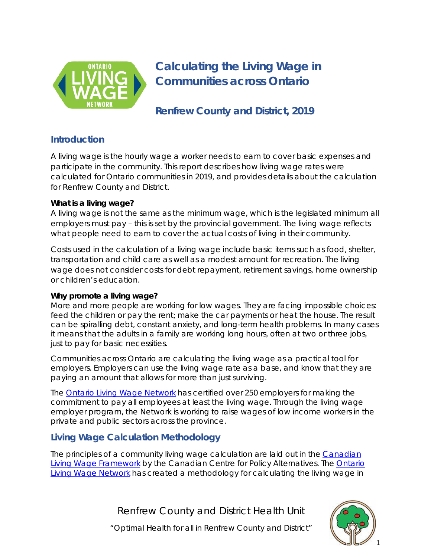

# **Calculating the Living Wage in Communities across Ontario**

**Renfrew County and District, 2019**

## **Introduction**

A living wage is the hourly wage a worker needs to earn to cover basic expenses and participate in the community. This report describes how living wage rates were calculated for Ontario communities in 2019, and provides details about the calculation for Renfrew County and District.

#### **What is a living wage?**

A living wage is not the same as the minimum wage, which is the legislated minimum all employers must pay – this is set by the provincial government. The living wage reflects what people need to earn to cover the actual costs of living in their community.

Costs used in the calculation of a living wage include basic items such as food, shelter, transportation and child care as well as a modest amount for recreation. The living wage does not consider costs for debt repayment, retirement savings, home ownership or children's education.

#### **Why promote a living wage?**

More and more people are working for low wages. They are facing impossible choices: feed the children or pay the rent; make the car payments or heat the house. The result can be spiralling debt, constant anxiety, and long-term health problems. In many cases it means that the adults in a family are working long hours, often at two or three jobs, just to pay for basic necessities.

Communities across Ontario are calculating the living wage as a practical tool for employers. Employers can use the living wage rate as a base, and know that they are paying an amount that allows for more than just surviving.

The [Ontario Living Wage Network](https://www.ontariolivingwage.ca/) has certified over 250 employers for making the commitment to pay all employees at least the living wage. Through the living wage employer program, the Network is working to raise wages of low income workers in the private and public sectors across the province.

# **Living Wage Calculation Methodology**

The principles of a community living wage calculation are laid out in the [Canadian](http://livingwagecanada.ca/files/3913/8382/4524/Living_Wage_Full_Document_Nov.pdf)  [Living Wage Framework](http://livingwagecanada.ca/files/3913/8382/4524/Living_Wage_Full_Document_Nov.pdf) by the Canadian Centre for Policy Alternatives. The [Ontario](https://www.ontariolivingwage.ca/)  [Living Wage Network](https://www.ontariolivingwage.ca/) has created a methodology for calculating the living wage in

Renfrew County and District Health Unit

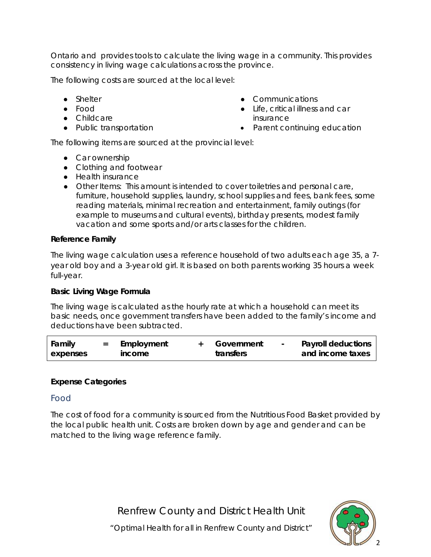Ontario and provides tools to calculate the living wage in a community. This provides consistency in living wage calculations across the province.

The following costs are sourced at the local level:

- Shelter
- Food
- Childcare
- Public transportation
- Communications
- Life, critical illness and car insurance
- Parent continuing education

The following items are sourced at the provincial level:

- Car ownership
- Clothing and footwear
- Health insurance
- Other Items: This amount is intended to cover toiletries and personal care, furniture, household supplies, laundry, school supplies and fees, bank fees, some reading materials, minimal recreation and entertainment, family outings (for example to museums and cultural events), birthday presents, modest family vacation and some sports and/or arts classes for the children.

#### **Reference Family**

The living wage calculation uses a reference household of two adults each age 35, a 7 year old boy and a 3-year old girl. It is based on both parents working 35 hours a week full-year.

#### **Basic Living Wage Formula**

The living wage is calculated as the hourly rate at which a household can meet its basic needs, once government transfers have been added to the family's income and deductions have been subtracted.

| Family   | Employment | Government | <b>Payroll deductions</b> |
|----------|------------|------------|---------------------------|
| expenses | income     | transfers  | and income taxes          |

#### **Expense Categories**

#### Food

The cost of food for a community is sourced from the Nutritious Food Basket provided by the local public health unit. Costs are broken down by age and gender and can be matched to the living wage reference family.

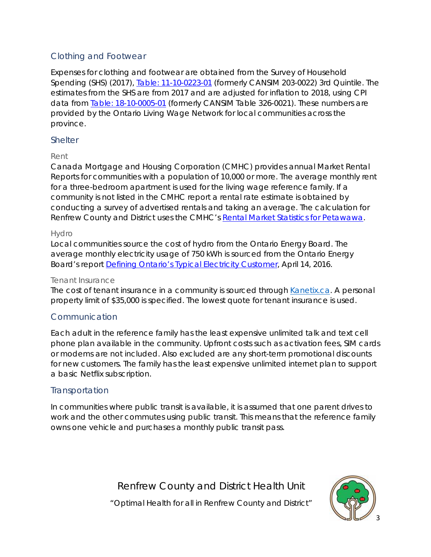## Clothing and Footwear

Expenses for clothing and footwear are obtained from the Survey of Household Spending (SHS) (2017), [Table: 11-10-0223-01](https://www150.statcan.gc.ca/t1/tbl1/en/tv.action?pid=1110022301) (formerly CANSIM 203-0022) 3rd Quintile. The estimates from the SHS are from 2017 and are adjusted for inflation to 2018, using CPI data from [Table: 18-10-0005-01](https://www150.statcan.gc.ca/t1/tbl1/en/tv.action?pid=1810000501) (formerly CANSIM Table 326-0021). These numbers are provided by the Ontario Living Wage Network for local communities across the province.

#### Shelter

#### Rent

Canada Mortgage and Housing Corporation (CMHC) provides annual Market Rental Reports for communities with a population of 10,000 or more. The average monthly rent for a three-bedroom apartment is used for the living wage reference family. If a community is not listed in the CMHC report a rental rate estimate is obtained by conducting a survey of advertised rentals and taking an average. *The calculation for Renfrew County and District uses the CMHC's* Rental Market Statistics for Petawawa.

#### Hydro

Local communities source the cost of hydro from the Ontario Energy Board. The average monthly electricity usage of 750 kWh is sourced from the Ontario Energy Board's report [Defining Ontario's Typical Electricity Customer,](https://www.oeb.ca/sites/default/files/uploads/Report_Defining_Typical_Elec_Customer_20160414.pdf) April 14, 2016.

#### Tenant Insurance

The cost of tenant insurance in a community is sourced through [Kanetix.ca.](http://www.kanetix.ca/) A personal property limit of \$35,000 is specified. The lowest quote for tenant insurance is used.

## Communication

Each adult in the reference family has the least expensive unlimited talk and text cell phone plan available in the community. Upfront costs such as activation fees, SIM cards or modems are not included. Also excluded are any short-term promotional discounts for new customers. The family has the least expensive unlimited internet plan to support a basic Netflix subscription.

#### **Transportation**

In communities where public transit is available, it is assumed that one parent drives to work and the other commutes using public transit. This means that the reference family owns one vehicle and purchases a monthly public transit pass.

Renfrew County and District Health Unit

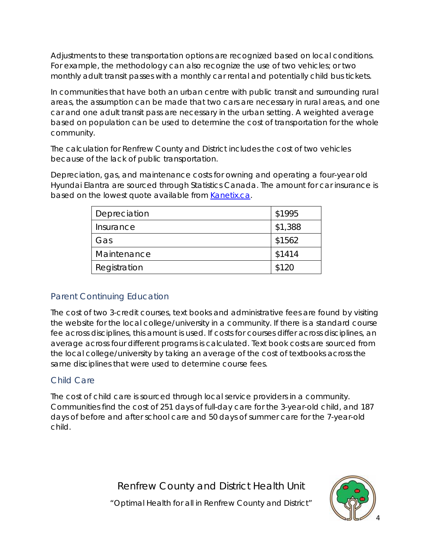Adjustments to these transportation options are recognized based on local conditions. For example, the methodology can also recognize the use of two vehicles; or two monthly adult transit passes with a monthly car rental and potentially child bus tickets.

In communities that have both an urban centre with public transit and surrounding rural areas, the assumption can be made that two cars are necessary in rural areas, and one car and one adult transit pass are necessary in the urban setting. A weighted average based on population can be used to determine the cost of transportation for the whole community.

*The calculation for Renfrew County and District includes the cost of two vehicles because of the lack of public transportation.*

Depreciation, gas, and maintenance costs for owning and operating a four-year old Hyundai Elantra are sourced through Statistics Canada. The amount for car insurance is based on the lowest quote available from [Kanetix.ca.](https://www.kanetix.ca/)

| Depreciation | \$1995  |
|--------------|---------|
| Insurance    | \$1,388 |
| Gas          | \$1562  |
| Maintenance  | \$1414  |
| Registration | \$120   |

## Parent Continuing Education

The cost of two 3-credit courses, text books and administrative fees are found by visiting the website for the local college/university in a community. If there is a standard course fee across disciplines, this amount is used. If costs for courses differ across disciplines, an average across four different programs is calculated. Text book costs are sourced from the local college/university by taking an average of the cost of textbooks across the same disciplines that were used to determine course fees.

# Child Care

The cost of child care is sourced through local service providers in a community. Communities find the cost of 251 days of full-day care for the 3-year-old child, and 187 days of before and after school care and 50 days of summer care for the 7-year-old child.

Renfrew County and District Health Unit

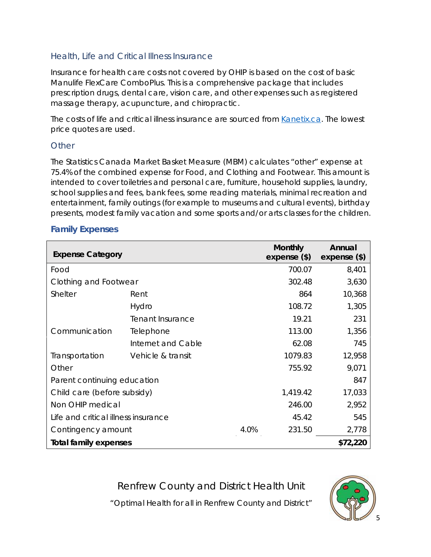## Health, Life and Critical Illness Insurance

Insurance for health care costs not covered by OHIP is based on the cost of basic Manulife FlexCare ComboPlus. This is a comprehensive package that includes prescription drugs, dental care, vision care, and other expenses such as registered massage therapy, acupuncture, and chiropractic.

The costs of life and critical illness insurance are sourced from [Kanetix.ca.](http://www.kanetix.ca/) The lowest price quotes are used.

#### **Other**

The Statistics Canada Market Basket Measure (MBM) calculates "other" expense at 75.4% of the combined expense for Food, and Clothing and Footwear. This amount is intended to cover toiletries and personal care, furniture, household supplies, laundry, school supplies and fees, bank fees, some reading materials, minimal recreation and entertainment, family outings (for example to museums and cultural events), birthday presents, modest family vacation and some sports and/or arts classes for the children.

#### **Family Expenses**

| <b>Expense Category</b>             |                    |          | <b>Monthly</b><br>$expense$ (\$) | Annual<br>$expense$ (\$) |
|-------------------------------------|--------------------|----------|----------------------------------|--------------------------|
| Food                                |                    |          | 700.07                           | 8,401                    |
| Clothing and Footwear               |                    | 302.48   | 3,630                            |                          |
| Shelter                             | Rent               |          | 864                              | 10,368                   |
|                                     | Hydro              |          | 108.72                           | 1,305                    |
|                                     | Tenant Insurance   |          | 19.21                            | 231                      |
| Communication                       | Telephone          |          | 113.00                           | 1,356                    |
|                                     | Internet and Cable |          | 62.08                            | 745                      |
| Transportation                      | Vehicle & transit  |          | 1079.83                          | 12,958                   |
| Other                               |                    |          | 755.92                           | 9,071                    |
| Parent continuing education         |                    |          |                                  | 847                      |
| Child care (before subsidy)         |                    | 1,419.42 | 17,033                           |                          |
| Non OHIP medical                    |                    | 246.00   | 2,952                            |                          |
| Life and critical illness insurance |                    |          | 45.42                            | 545                      |
| Contingency amount                  | 4.0%               | 231.50   | 2,778                            |                          |
| <b>Total family expenses</b>        |                    |          |                                  | \$72,220                 |

Renfrew County and District Health Unit

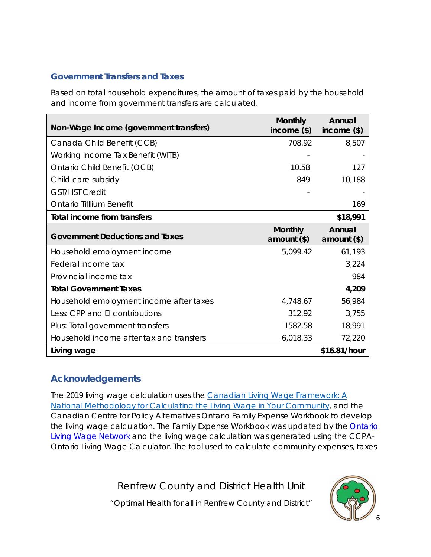## **Government Transfers and Taxes**

Based on total household expenditures, the amount of taxes paid by the household and income from government transfers are calculated.

| Non-Wage Income (government transfers)   | <b>Monthly</b><br>income $(\$)$ | Annual<br>income $(*)$  |
|------------------------------------------|---------------------------------|-------------------------|
| Canada Child Benefit (CCB)               | 708.92                          | 8,507                   |
| Working Income Tax Benefit (WITB)        |                                 |                         |
| Ontario Child Benefit (OCB)              | 10.58                           | 127                     |
| Child care subsidy                       | 849                             | 10,188                  |
| <b>GST/HST Credit</b>                    |                                 |                         |
| <b>Ontario Trillium Benefit</b>          |                                 | 169                     |
| Total income from transfers              |                                 | \$18,991                |
| <b>Government Deductions and Taxes</b>   | <b>Monthly</b><br>amount $(*)$  | Annual<br>$amount$ (\$) |
| Household employment income              | 5,099.42                        | 61,193                  |
| Federal income tax                       |                                 | 3,224                   |
| Provincial income tax                    |                                 | 984                     |
| <b>Total Government Taxes</b>            |                                 | 4,209                   |
| Household employment income after taxes  | 4,748.67                        | 56,984                  |
| Less: CPP and El contributions           | 312.92                          | 3,755                   |
| Plus: Total government transfers         | 1582.58                         | 18,991                  |
| Household income after tax and transfers | 6,018.33                        | 72,220                  |
| Living wage                              |                                 | \$16.81/hour            |

# **Acknowledgements**

The 2019 living wage calculation uses the *[Canadian Living Wage Framework: A](http://livingwagecanada.ca/files/3913/8382/4524/Living_Wage_Full_Document_Nov.pdf)  [National Methodology for Calculating the Living Wage in Your Community](http://livingwagecanada.ca/files/3913/8382/4524/Living_Wage_Full_Document_Nov.pdf)*, and the Canadian Centre for Policy Alternatives Ontario Family Expense Workbook to develop the living wage calculation. The Family Expense Workbook was updated by the Ontario [Living Wage Network](https://www.ontariolivingwage.ca/) and the living wage calculation was generated using the CCPA-Ontario Living Wage Calculator. The tool used to calculate community expenses, taxes

Renfrew County and District Health Unit